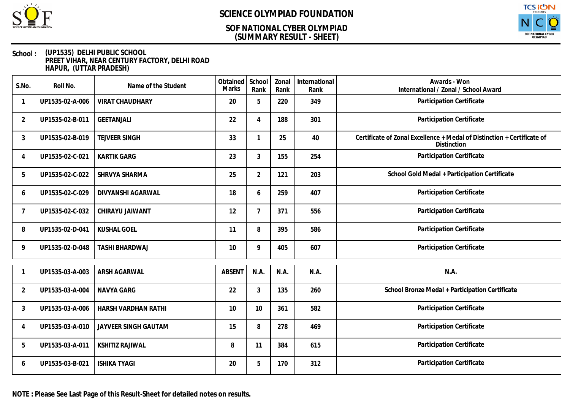

### **(SUMMARY RESULT - SHEET) SOF NATIONAL CYBER OLYMPIAD**



#### **School : (UP1535) DELHI PUBLIC SCHOOL PREET VIHAR, NEAR CENTURY FACTORY, DELHI ROAD HAPUR, (UTTAR PRADESH)**

| S.No.          | Roll No.        | Name of the Student    | Obtained<br>Marks | School<br>Rank | Zonal<br>Rank | International<br>Rank | Awards - Won<br>International / Zonal / School Award                                   |
|----------------|-----------------|------------------------|-------------------|----------------|---------------|-----------------------|----------------------------------------------------------------------------------------|
| 1              | UP1535-02-A-006 | <b>VIRAT CHAUDHARY</b> | 20                | 5              | 220           | 349                   | Participation Certificate                                                              |
| $\overline{2}$ | UP1535-02-B-011 | <b>GEETANJALI</b>      | 22                | 4              | 188           | 301                   | Participation Certificate                                                              |
| 3              | UP1535-02-B-019 | <b>TEJVEER SINGH</b>   | 33                | 1              | 25            | 40                    | Certificate of Zonal Excellence + Medal of Distinction + Certificate of<br>Distinction |
| 4              | UP1535-02-C-021 | <b>KARTIK GARG</b>     | 23                | $\mathfrak{Z}$ | 155           | 254                   | Participation Certificate                                                              |
| 5              | UP1535-02-C-022 | SHRVYA SHARMA          | 25                | $\overline{2}$ | 121           | 203                   | School Gold Medal + Participation Certificate                                          |
| 6              | UP1535-02-C-029 | DIVYANSHI AGARWAL      | 18                | 6              | 259           | 407                   | Participation Certificate                                                              |
| $\overline{7}$ | UP1535-02-C-032 | CHIRAYU JAIWANT        | 12                | $\overline{7}$ | 371           | 556                   | Participation Certificate                                                              |
| 8              | UP1535-02-D-041 | <b>KUSHAL GOEL</b>     | 11                | 8              | 395           | 586                   | Participation Certificate                                                              |
| 9              | UP1535-02-D-048 | TASHI BHARDWAJ         | 10                | 9              | 405           | 607                   | Participation Certificate                                                              |
| -1             | UP1535-03-A-003 | ARSH AGARWAL           | <b>ABSENT</b>     | N.A.           | N.A.          | N.A.                  | N.A.                                                                                   |
| 2              | UP1535-03-A-004 | <b>NAVYA GARG</b>      | 22                | 3              | 135           | 260                   | School Bronze Medal + Participation Certificate                                        |
| 3              | UP1535-03-A-006 | HARSH VARDHAN RATHI    | 10                | 10             | 361           | 582                   | Participation Certificate                                                              |
| 4              | UP1535-03-A-010 | JAYVEER SINGH GAUTAM   | 15                | 8              | 278           | 469                   | Participation Certificate                                                              |
| 5              | UP1535-03-A-011 | <b>KSHITIZ RAJIWAL</b> | 8                 | 11             | 384           | 615                   | Participation Certificate                                                              |
| 6              | UP1535-03-B-021 | <b>ISHIKA TYAGI</b>    | 20                | 5              | 170           | 312                   | Participation Certificate                                                              |

**NOTE : Please See Last Page of this Result-Sheet for detailed notes on results.**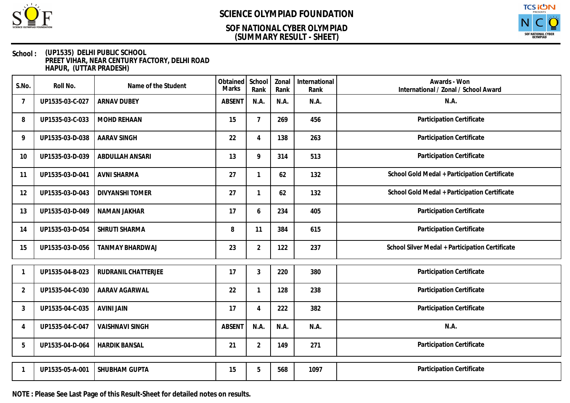

### **(SUMMARY RESULT - SHEET) SOF NATIONAL CYBER OLYMPIAD**



#### **School : (UP1535) DELHI PUBLIC SCHOOL PREET VIHAR, NEAR CENTURY FACTORY, DELHI ROAD HAPUR, (UTTAR PRADESH)**

| S.No.          | Roll No.        | Name of the Student    | Obtained<br><b>Marks</b> | School<br>Rank | Zonal<br>Rank | International<br>Rank | Awards - Won<br>International / Zonal / School Award |
|----------------|-----------------|------------------------|--------------------------|----------------|---------------|-----------------------|------------------------------------------------------|
| $\overline{7}$ | UP1535-03-C-027 | <b>ARNAV DUBEY</b>     | <b>ABSENT</b>            | N.A.           | N.A.          | N.A.                  | N.A.                                                 |
| 8              | UP1535-03-C-033 | <b>MOHD REHAAN</b>     | 15                       | $\overline{7}$ | 269           | 456                   | Participation Certificate                            |
| 9              | UP1535-03-D-038 | <b>AARAV SINGH</b>     | 22                       | 4              | 138           | 263                   | Participation Certificate                            |
| 10             | UP1535-03-D-039 | ABDULLAH ANSARI        | 13                       | 9              | 314           | 513                   | Participation Certificate                            |
| 11             | UP1535-03-D-041 | <b>AVNI SHARMA</b>     | 27                       | $\mathbf{1}$   | 62            | 132                   | School Gold Medal + Participation Certificate        |
| 12             | UP1535-03-D-043 | <b>DIVYANSHI TOMER</b> | 27                       | $\mathbf{1}$   | 62            | 132                   | School Gold Medal + Participation Certificate        |
| 13             | UP1535-03-D-049 | NAMAN JAKHAR           | 17                       | 6              | 234           | 405                   | Participation Certificate                            |
| 14             | UP1535-03-D-054 | SHRUTI SHARMA          | 8                        | 11             | 384           | 615                   | Participation Certificate                            |
| 15             | UP1535-03-D-056 | TANMAY BHARDWAJ        | 23                       | $\overline{2}$ | 122           | 237                   | School Silver Medal + Participation Certificate      |
|                | UP1535-04-B-023 | RUDRANIL CHATTERJEE    | 17                       | 3              | 220           | 380                   | Participation Certificate                            |
| $\overline{2}$ | UP1535-04-C-030 | AARAV AGARWAL          | 22                       | 1              | 128           | 238                   | Participation Certificate                            |
| 3              | UP1535-04-C-035 | <b>AVINI JAIN</b>      | 17                       | 4              | 222           | 382                   | Participation Certificate                            |
| 4              | UP1535-04-C-047 | <b>VAISHNAVI SINGH</b> | <b>ABSENT</b>            | N.A.           | N.A.          | N.A.                  | N.A.                                                 |
| 5              | UP1535-04-D-064 | <b>HARDIK BANSAL</b>   | 21                       | $\overline{2}$ | 149           | 271                   | Participation Certificate                            |
|                | UP1535-05-A-001 | SHUBHAM GUPTA          | 15                       | 5              | 568           | 1097                  | Participation Certificate                            |

**NOTE : Please See Last Page of this Result-Sheet for detailed notes on results.**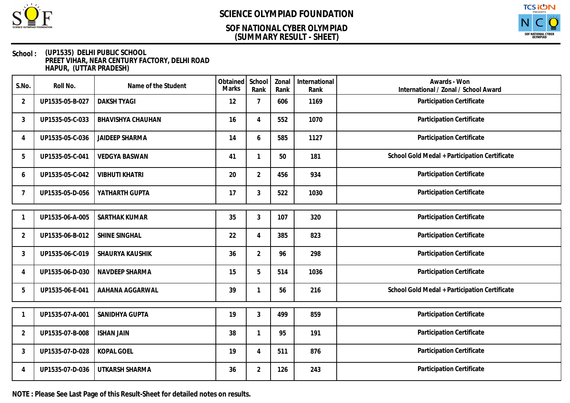

### **(SUMMARY RESULT - SHEET) SOF NATIONAL CYBER OLYMPIAD**



#### **School : (UP1535) DELHI PUBLIC SCHOOL PREET VIHAR, NEAR CENTURY FACTORY, DELHI ROAD HAPUR, (UTTAR PRADESH)**

| S.No.          | Roll No.        | Name of the Student      | Obtained<br>Marks | School<br>Rank | Zonal<br>Rank | International<br>Rank | Awards - Won<br>International / Zonal / School Award |
|----------------|-----------------|--------------------------|-------------------|----------------|---------------|-----------------------|------------------------------------------------------|
| $\overline{2}$ | UP1535-05-B-027 | <b>DAKSH TYAGI</b>       | 12                | 7              | 606           | 1169                  | Participation Certificate                            |
| 3              | UP1535-05-C-033 | <b>BHAVISHYA CHAUHAN</b> | 16                | 4              | 552           | 1070                  | Participation Certificate                            |
| 4              | UP1535-05-C-036 | <b>JAIDEEP SHARMA</b>    | 14                | 6              | 585           | 1127                  | Participation Certificate                            |
| 5              | UP1535-05-C-041 | <b>VEDGYA BASWAN</b>     | 41                | 1              | 50            | 181                   | School Gold Medal + Participation Certificate        |
| 6              | UP1535-05-C-042 | <b>VIBHUTI KHATRI</b>    | 20                | $\overline{2}$ | 456           | 934                   | Participation Certificate                            |
| 7              | UP1535-05-D-056 | YATHARTH GUPTA           | 17                | 3              | 522           | 1030                  | Participation Certificate                            |
|                | UP1535-06-A-005 | SARTHAK KUMAR            | 35                | 3              | 107           | 320                   | Participation Certificate                            |
| $\overline{2}$ | UP1535-06-B-012 | SHINE SINGHAL            | 22                | 4              | 385           | 823                   | Participation Certificate                            |
| 3              | UP1535-06-C-019 | SHAURYA KAUSHIK          | 36                | $\overline{2}$ | 96            | 298                   | Participation Certificate                            |
| 4              | UP1535-06-D-030 | NAVDEEP SHARMA           | 15                | 5              | 514           | 1036                  | Participation Certificate                            |
| 5              | UP1535-06-E-041 | AAHANA AGGARWAL          | 39                |                | 56            | 216                   | School Gold Medal + Participation Certificate        |
|                | UP1535-07-A-001 | SANIDHYA GUPTA           | 19                | 3              | 499           | 859                   | Participation Certificate                            |
| $\overline{2}$ | UP1535-07-B-008 | <b>ISHAN JAIN</b>        | 38                |                | 95            | 191                   | Participation Certificate                            |
| 3              | UP1535-07-D-028 | <b>KOPAL GOEL</b>        | 19                | 4              | 511           | 876                   | Participation Certificate                            |
| 4              | UP1535-07-D-036 | UTKARSH SHARMA           | 36                | $\overline{2}$ | 126           | 243                   | Participation Certificate                            |

**NOTE : Please See Last Page of this Result-Sheet for detailed notes on results.**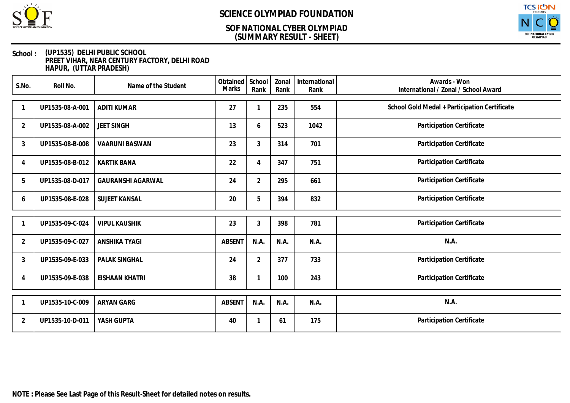

### **(SUMMARY RESULT - SHEET) SOF NATIONAL CYBER OLYMPIAD**



#### **School : (UP1535) DELHI PUBLIC SCHOOL PREET VIHAR, NEAR CENTURY FACTORY, DELHI ROAD HAPUR, (UTTAR PRADESH)**

| S.No.          | Roll No.        | Name of the Student      | Obtained School<br>Marks | Rank           | Zonal<br>Rank | International<br>Rank | Awards - Won<br>International / Zonal / School Award |
|----------------|-----------------|--------------------------|--------------------------|----------------|---------------|-----------------------|------------------------------------------------------|
|                | UP1535-08-A-001 | <b>ADITI KUMAR</b>       | 27                       |                | 235           | 554                   | School Gold Medal + Participation Certificate        |
| 2              | UP1535-08-A-002 | <b>JEET SINGH</b>        | 13                       | 6              | 523           | 1042                  | Participation Certificate                            |
| 3              | UP1535-08-B-008 | <b>VAARUNI BASWAN</b>    | 23                       | $\mathfrak{Z}$ | 314           | 701                   | Participation Certificate                            |
| 4              | UP1535-08-B-012 | <b>KARTIK BANA</b>       | 22                       | 4              | 347           | 751                   | Participation Certificate                            |
| 5              | UP1535-08-D-017 | <b>GAURANSHI AGARWAL</b> | 24                       | $\overline{2}$ | 295           | 661                   | Participation Certificate                            |
| 6              | UP1535-08-E-028 | SUJEET KANSAL            | 20                       | 5              | 394           | 832                   | Participation Certificate                            |
|                | UP1535-09-C-024 | <b>VIPUL KAUSHIK</b>     | 23                       | 3              | 398           | 781                   | Participation Certificate                            |
| $\overline{2}$ | UP1535-09-C-027 | <b>ANSHIKA TYAGI</b>     | <b>ABSENT</b>            | N.A.           | N.A.          | N.A.                  | N.A.                                                 |
| 3              | UP1535-09-E-033 | PALAK SINGHAL            | 24                       | $\overline{2}$ | 377           | 733                   | Participation Certificate                            |
| 4              | UP1535-09-E-038 | <b>EISHAAN KHATRI</b>    | 38                       |                | 100           | 243                   | Participation Certificate                            |
|                | UP1535-10-C-009 | <b>ARYAN GARG</b>        | <b>ABSENT</b>            | N.A.           | N.A.          | N.A.                  | N.A.                                                 |
|                |                 |                          |                          |                |               |                       |                                                      |
| $\overline{2}$ | UP1535-10-D-011 | YASH GUPTA               | 40                       |                | 61            | 175                   | Participation Certificate                            |